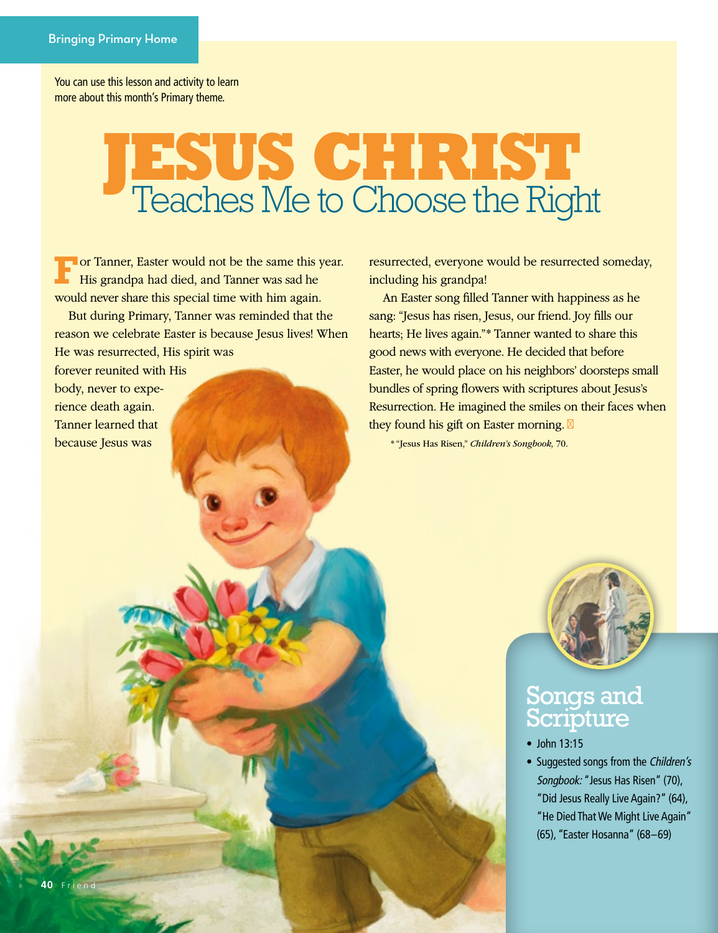You can use this lesson and activity to learn more about this month's Primary theme.

## **JESUS CHRIST**  Teaches Me to Choose the Right

**For Tanner, Easter would not be the same this year.** His grandpa had died, and Tanner was sad he would never share this special time with him again.

But during Primary, Tanner was reminded that the reason we celebrate Easter is because Jesus lives! When He was resurrected, His spirit was

forever reunited with His body, never to experience death again. Tanner learned that because Jesus was

resurrected, everyone would be resurrected someday, including his grandpa!

An Easter song filled Tanner with happiness as he sang: "Jesus has risen, Jesus, our friend. Joy fills our hearts; He lives again."\* Tanner wanted to share this good news with everyone. He decided that before Easter, he would place on his neighbors' doorsteps small bundles of spring flowers with scriptures about Jesus's Resurrection. He imagined the smiles on their faces when they found his gift on Easter morning.

\* "Jesus Has Risen," *Children's Songbook,* 70.



## Songs and Scripture

- John 13:15
- Suggested songs from the *Children's Songbook:* "Jesus Has Risen" (70), "Did Jesus Really Live Again?" (64), "He Died That We Might Live Again" (65), "Easter Hosanna" (68–69)